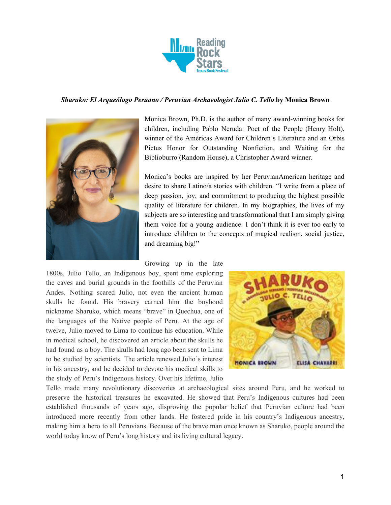

### *Sharuko: El Arqueólogo Peruano / Peruvian Archaeologist Julio C. Tello* **by Monica Brown**



Monica Brown, Ph.D. is the author of many award-winning books for children, including Pablo Neruda: Poet of the People (Henry Holt), winner of the Américas Award for Children's Literature and an Orbis Pictus Honor for Outstanding Nonfiction, and Waiting for the Biblioburro (Random House), a Christopher Award winner.

Monica's books are inspired by her PeruvianAmerican heritage and desire to share Latino/a stories with children. "I write from a place of deep passion, joy, and commitment to producing the highest possible quality of literature for children. In my biographies, the lives of my subjects are so interesting and transformational that I am simply giving them voice for a young audience. I don't think it is ever too early to introduce children to the concepts of magical realism, social justice, and dreaming big!"

### Growing up in the late

1800s, Julio Tello, an Indigenous boy, spent time exploring the caves and burial grounds in the foothills of the Peruvian Andes. Nothing scared Julio, not even the ancient human skulls he found. His bravery earned him the boyhood nickname Sharuko, which means "brave" in Quechua, one of the languages of the Native people of Peru. At the age of twelve, Julio moved to Lima to continue his education. While in medical school, he discovered an article about the skulls he had found as a boy. The skulls had long ago been sent to Lima to be studied by scientists. The article renewed Julio's interest in his ancestry, and he decided to devote his medical skills to the study of Peru's Indigenous history. Over his lifetime, Julio



Tello made many revolutionary discoveries at archaeological sites around Peru, and he worked to preserve the historical treasures he excavated. He showed that Peru's Indigenous cultures had been established thousands of years ago, disproving the popular belief that Peruvian culture had been introduced more recently from other lands. He fostered pride in his country's Indigenous ancestry, making him a hero to all Peruvians. Because of the brave man once known as Sharuko, people around the world today know of Peru's long history and its living cultural legacy.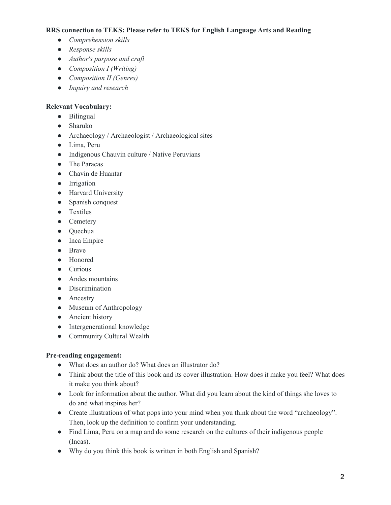## **RRS connection to TEKS: Please refer to TEKS for English Language Arts and Reading**

- *● Comprehension skills*
- *● Response skills*
- *● Author's purpose and craft*
- *● Composition I (Writing)*
- *● Composition II (Genres)*
- *● Inquiry and research*

# **Relevant Vocabulary:**

- Bilingual
- Sharuko
- Archaeology / Archaeologist / Archaeological sites
- Lima, Peru
- Indigenous Chauvin culture / Native Peruvians
- The Paracas
- Chavin de Huantar
- Irrigation
- Harvard University
- Spanish conquest
- Textiles
- Cemetery
- Quechua
- Inca Empire
- Brave
- Honored
- Curious
- Andes mountains
- Discrimination
- Ancestry
- Museum of Anthropology
- Ancient history
- Intergenerational knowledge
- Community Cultural Wealth

## **Pre-reading engagement:**

- What does an author do? What does an illustrator do?
- Think about the title of this book and its cover illustration. How does it make you feel? What does it make you think about?
- Look for information about the author. What did you learn about the kind of things she loves to do and what inspires her?
- Create illustrations of what pops into your mind when you think about the word "archaeology". Then, look up the definition to confirm your understanding.
- Find Lima, Peru on a map and do some research on the cultures of their indigenous people (Incas).
- Why do you think this book is written in both English and Spanish?